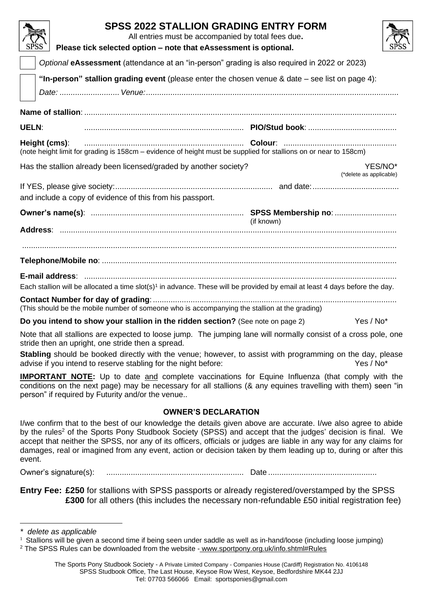| <b>SPSS 2022 STALLION GRADING ENTRY FORM</b><br>All entries must be accompanied by total fees due.<br>SPS<br>Please tick selected option - note that eAssessment is optional. |            |                                    |  |  |
|-------------------------------------------------------------------------------------------------------------------------------------------------------------------------------|------------|------------------------------------|--|--|
| Optional eAssessment (attendance at an "in-person" grading is also required in 2022 or 2023)                                                                                  |            |                                    |  |  |
| "In-person" stallion grading event (please enter the chosen venue & date – see list on page 4):                                                                               |            |                                    |  |  |
| <b>UELN:</b>                                                                                                                                                                  |            |                                    |  |  |
| Height (cms):<br>(note height limit for grading is 158cm – evidence of height must be supplied for stallions on or near to 158cm)                                             |            |                                    |  |  |
| Has the stallion already been licensed/graded by another society?                                                                                                             |            | YES/NO*<br>(*delete as applicable) |  |  |
| and include a copy of evidence of this from his passport.                                                                                                                     |            |                                    |  |  |
|                                                                                                                                                                               | (if known) |                                    |  |  |
|                                                                                                                                                                               |            |                                    |  |  |
| Each stallion will be allocated a time slot(s) <sup>1</sup> in advance. These will be provided by email at least 4 days before the day.                                       |            |                                    |  |  |
| (This should be the mobile number of someone who is accompanying the stallion at the grading)                                                                                 |            |                                    |  |  |
| Do you intend to show your stallion in the ridden section? (See note on page 2)<br>Yes / No*                                                                                  |            |                                    |  |  |
| Alarga that all atalliance and actual that have a finite community of the collisions allocated at a consequented on                                                           |            |                                    |  |  |

Note that all stallions are expected to loose jump. The jumping lane will normally consist of a cross pole, one stride then an upright, one stride then a spread.

**Stabling** should be booked directly with the venue; however, to assist with programming on the day, please advise if you intend to reserve stabling for the night before: Yes / No\* Yes / No\*

**IMPORTANT NOTE:** Up to date and complete vaccinations for Equine Influenza (that comply with the conditions on the next page) may be necessary for all stallions (& any equines travelling with them) seen "in person" if required by Futurity and/or the venue..

# **OWNER'S DECLARATION**

I/we confirm that to the best of our knowledge the details given above are accurate. I/we also agree to abide by the rules<sup>2</sup> of the Sports Pony Studbook Society (SPSS) and accept that the judges' decision is final. We accept that neither the SPSS, nor any of its officers, officials or judges are liable in any way for any claims for damages, real or imagined from any event, action or decision taken by them leading up to, during or after this event.

Owner's signature(s): .............................................................. Date .................................................

**Entry Fee: £250** for stallions with SPSS passports or already registered/overstamped by the SPSS **£300** for all others (this includes the necessary non-refundable £50 initial registration fee)

*<sup>\*</sup> delete as applicable*

 $1$  Stallions will be given a second time if being seen under saddle as well as in-hand/loose (including loose jumping)

<sup>2</sup> The SPSS Rules can be downloaded from the website - [www.sportpony.org.uk/info.shtml#Rules](http://www.sportpony.org.uk/info.shtml%23Rules)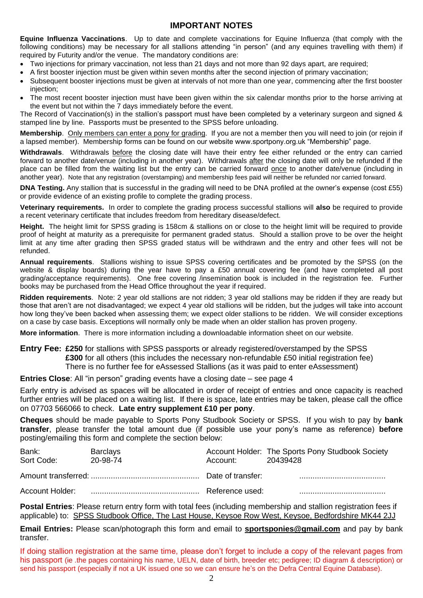### **IMPORTANT NOTES**

**Equine Influenza Vaccinations**. Up to date and complete vaccinations for Equine Influenza (that comply with the following conditions) may be necessary for all stallions attending "in person" (and any equines travelling with them) if required by Futurity and/or the venue. The mandatory conditions are:

- Two injections for primary vaccination, not less than 21 days and not more than 92 days apart, are required;
- A first booster injection must be given within seven months after the second injection of primary vaccination;
- Subsequent booster injections must be given at intervals of not more than one year, commencing after the first booster injection;
- The most recent booster injection must have been given within the six calendar months prior to the horse arriving at the event but not within the 7 days immediately before the event.

The Record of Vaccination(s) in the stallion's passport must have been completed by a veterinary surgeon and signed & stamped line by line. Passports must be presented to the SPSS before unloading.

**Membership**. Only members can enter a pony for grading. If you are not a member then you will need to join (or rejoin if a lapsed member). Membership forms can be found on our website www.sportpony.org.uk "Membership" page.

**Withdrawals**. Withdrawals before the closing date will have their entry fee either refunded or the entry can carried forward to another date/venue (including in another year). Withdrawals after the closing date will only be refunded if the place can be filled from the waiting list but the entry can be carried forward once to another date/venue (including in another year). Note that any registration (overstamping) and membership fees paid will neither be refunded nor carried forward.

**DNA Testing.** Any stallion that is successful in the grading will need to be DNA profiled at the owner's expense (cost £55) or provide evidence of an existing profile to complete the grading process.

**Veterinary requirements.** In order to complete the grading process successful stallions will **also** be required to provide a recent veterinary certificate that includes freedom from hereditary disease/defect.

**Height.** The height limit for SPSS grading is 158cm & stallions on or close to the height limit will be required to provide proof of height at maturity as a prerequisite for permanent graded status. Should a stallion prove to be over the height limit at any time after grading then SPSS graded status will be withdrawn and the entry and other fees will not be refunded.

**Annual requirements**. Stallions wishing to issue SPSS covering certificates and be promoted by the SPSS (on the website & display boards) during the year have to pay a £50 annual covering fee (and have completed all post grading/acceptance requirements). One free covering /insemination book is included in the registration fee. Further books may be purchased from the Head Office throughout the year if required.

**Ridden requirements**. Note: 2 year old stallions are not ridden; 3 year old stallions may be ridden if they are ready but those that aren't are not disadvantaged; we expect 4 year old stallions will be ridden, but the judges will take into account how long they've been backed when assessing them; we expect older stallions to be ridden. We will consider exceptions on a case by case basis. Exceptions will normally only be made when an older stallion has proven progeny.

**More information**. There is more information including a downloadable information sheet on our website.

**Entry Fee: £250** for stallions with SPSS passports or already registered/overstamped by the SPSS **£300** for all others (this includes the necessary non-refundable £50 initial registration fee) There is no further fee for eAssessed Stallions (as it was paid to enter eAssessment)

**Entries Close**: All "in person" grading events have a closing date – see page 4

Early entry is advised as spaces will be allocated in order of receipt of entries and once capacity is reached further entries will be placed on a waiting list. If there is space, late entries may be taken, please call the office on 07703 566066 to check. **Late entry supplement £10 per pony**.

**Cheques** should be made payable to Sports Pony Studbook Society or SPSS. If you wish to pay by **bank transfer**, please transfer the total amount due (if possible use your pony's name as reference) **before** posting/emailing this form and complete the section below:

| Bank:<br>Sort Code: | <b>Barclays</b><br>20-98-74 | Account:        | Account Holder: The Sports Pony Studbook Society<br>20439428 |
|---------------------|-----------------------------|-----------------|--------------------------------------------------------------|
|                     |                             |                 |                                                              |
|                     |                             | Reference used: |                                                              |

**Postal Entries**: Please return entry form with total fees (including membership and stallion registration fees if applicable) to: SPSS Studbook Office, The Last House, Keysoe Row West, Keysoe, Bedfordshire MK44 2JJ

**Email Entries:** Please scan/photograph this form and email to **sportsponies@gmail.com** and pay by bank transfer.

If doing stallion registration at the same time, please don't forget to include a copy of the relevant pages from his passport (ie .the pages containing his name, UELN, date of birth, breeder etc; pedigree; ID diagram & description) or send his passport (especially if not a UK issued one so we can ensure he's on the Defra Central Equine Database).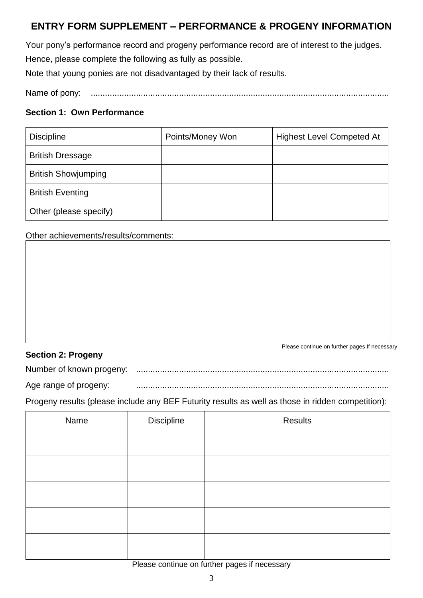# **ENTRY FORM SUPPLEMENT – PERFORMANCE & PROGENY INFORMATION**

Your pony's performance record and progeny performance record are of interest to the judges. Hence, please complete the following as fully as possible.

Note that young ponies are not disadvantaged by their lack of results.

Name of pony: .............................................................................................................................

### **Section 1: Own Performance**

| <b>Discipline</b>          | Points/Money Won | <b>Highest Level Competed At</b> |
|----------------------------|------------------|----------------------------------|
| <b>British Dressage</b>    |                  |                                  |
| <b>British Showjumping</b> |                  |                                  |
| <b>British Eventing</b>    |                  |                                  |
| Other (please specify)     |                  |                                  |

Other achievements/results/comments:

## **Section 2: Progeny**

Please continue on further pages If necessary

Number of known progeny: ..........................................................................................................

Age range of progeny: ..........................................................................................................

Progeny results (please include any BEF Futurity results as well as those in ridden competition):

| Name | Discipline | Results |
|------|------------|---------|
|      |            |         |
|      |            |         |
|      |            |         |
|      |            |         |
|      |            |         |